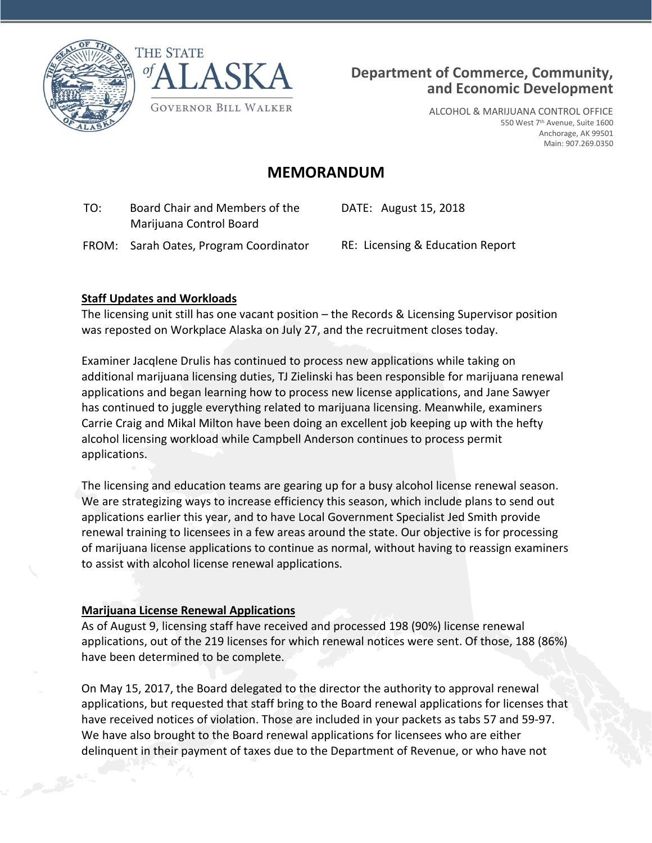





ALCOHOL & MARIJUANA CONTROL OFFICE 550 West 7<sup>th</sup> Avenue, Suite 1600 Anchorage, AK 99501 Main: 907.269.0350

# **MEMORANDUM**

 TO: Board Chair and Members of the Marijuana Control Board

FROM: Sarah Oates, Program Coordinator RE: Licensing & Education Report

DATE: August 15, 2018

#### **Staff Updates and Workloads**

The licensing unit still has one vacant position – the Records & Licensing Supervisor position was reposted on Workplace Alaska on July 27, and the recruitment closes today.

Examiner Jacqlene Drulis has continued to process new applications while taking on additional marijuana licensing duties, TJ Zielinski has been responsible for marijuana renewal applications and began learning how to process new license applications, and Jane Sawyer has continued to juggle everything related to marijuana licensing. Meanwhile, examiners Carrie Craig and Mikal Milton have been doing an excellent job keeping up with the hefty alcohol licensing workload while Campbell Anderson continues to process permit applications.

The licensing and education teams are gearing up for a busy alcohol license renewal season. We are strategizing ways to increase efficiency this season, which include plans to send out applications earlier this year, and to have Local Government Specialist Jed Smith provide renewal training to licensees in a few areas around the state. Our objective is for processing of marijuana license applications to continue as normal, without having to reassign examiners to assist with alcohol license renewal applications.

#### **Marijuana License Renewal Applications**

As of August 9, licensing staff have received and processed 198 (90%) license renewal applications, out of the 219 licenses for which renewal notices were sent. Of those, 188 (86%) have been determined to be complete.

On May 15, 2017, the Board delegated to the director the authority to approval renewal applications, but requested that staff bring to the Board renewal applications for licenses that have received notices of violation. Those are included in your packets as tabs 57 and 59-97. We have also brought to the Board renewal applications for licensees who are either delinquent in their payment of taxes due to the Department of Revenue, or who have not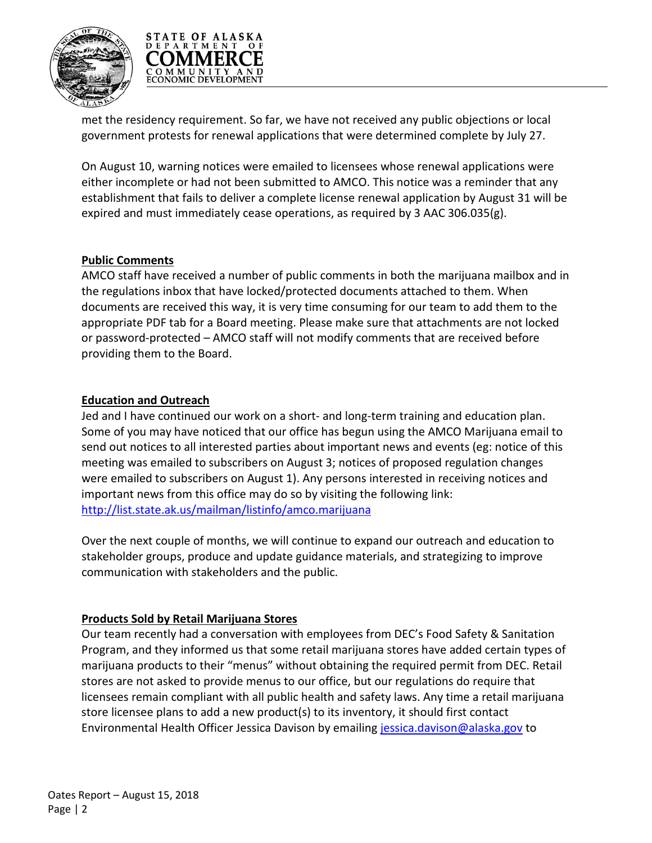



met the residency requirement. So far, we have not received any public objections or local government protests for renewal applications that were determined complete by July 27.

On August 10, warning notices were emailed to licensees whose renewal applications were either incomplete or had not been submitted to AMCO. This notice was a reminder that any establishment that fails to deliver a complete license renewal application by August 31 will be expired and must immediately cease operations, as required by 3 AAC 306.035(g).

## **Public Comments**

AMCO staff have received a number of public comments in both the marijuana mailbox and in the regulations inbox that have locked/protected documents attached to them. When documents are received this way, it is very time consuming for our team to add them to the appropriate PDF tab for a Board meeting. Please make sure that attachments are not locked or password-protected – AMCO staff will not modify comments that are received before providing them to the Board.

## **Education and Outreach**

Jed and I have continued our work on a short- and long-term training and education plan. Some of you may have noticed that our office has begun using the AMCO Marijuana email to send out notices to all interested parties about important news and events (eg: notice of this meeting was emailed to subscribers on August 3; notices of proposed regulation changes were emailed to subscribers on August 1). Any persons interested in receiving notices and important news from this office may do so by visiting the following link: <http://list.state.ak.us/mailman/listinfo/amco.marijuana>

Over the next couple of months, we will continue to expand our outreach and education to stakeholder groups, produce and update guidance materials, and strategizing to improve communication with stakeholders and the public.

## **Products Sold by Retail Marijuana Stores**

Our team recently had a conversation with employees from DEC's Food Safety & Sanitation Program, and they informed us that some retail marijuana stores have added certain types of marijuana products to their "menus" without obtaining the required permit from DEC. Retail stores are not asked to provide menus to our office, but our regulations do require that licensees remain compliant with all public health and safety laws. Any time a retail marijuana store licensee plans to add a new product(s) to its inventory, it should first contact Environmental Health Officer Jessica Davison by emailing [jessica.davison@alaska.gov](mailto:jessica.davison@alaska.gov) to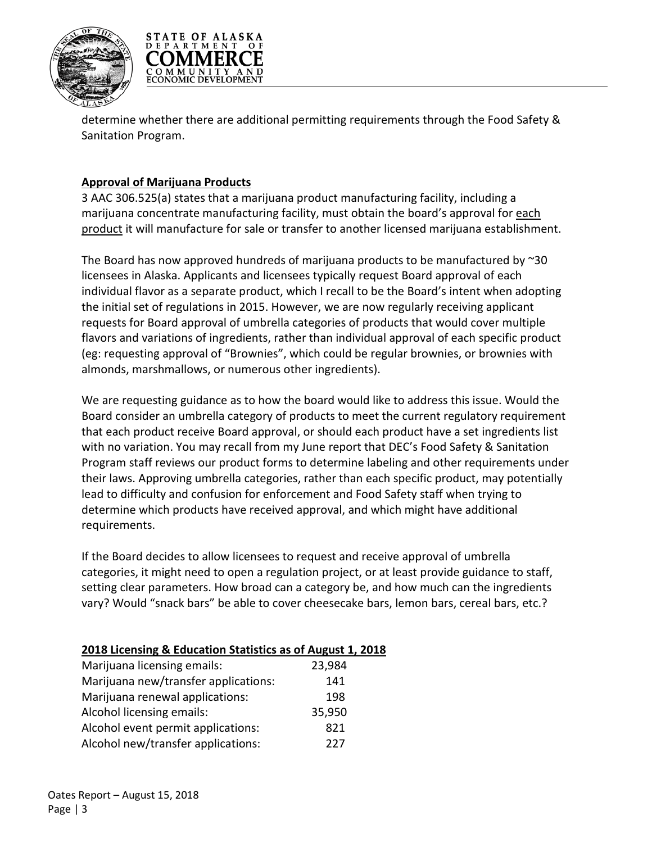



determine whether there are additional permitting requirements through the Food Safety & Sanitation Program.

# **Approval of Marijuana Products**

3 AAC 306.525(a) states that a marijuana product manufacturing facility, including a marijuana concentrate manufacturing facility, must obtain the board's approval for each product it will manufacture for sale or transfer to another licensed marijuana establishment.

The Board has now approved hundreds of marijuana products to be manufactured by  $\approx$ 30 licensees in Alaska. Applicants and licensees typically request Board approval of each individual flavor as a separate product, which I recall to be the Board's intent when adopting the initial set of regulations in 2015. However, we are now regularly receiving applicant requests for Board approval of umbrella categories of products that would cover multiple flavors and variations of ingredients, rather than individual approval of each specific product (eg: requesting approval of "Brownies", which could be regular brownies, or brownies with almonds, marshmallows, or numerous other ingredients).

We are requesting guidance as to how the board would like to address this issue. Would the Board consider an umbrella category of products to meet the current regulatory requirement that each product receive Board approval, or should each product have a set ingredients list with no variation. You may recall from my June report that DEC's Food Safety & Sanitation Program staff reviews our product forms to determine labeling and other requirements under their laws. Approving umbrella categories, rather than each specific product, may potentially lead to difficulty and confusion for enforcement and Food Safety staff when trying to determine which products have received approval, and which might have additional requirements.

If the Board decides to allow licensees to request and receive approval of umbrella categories, it might need to open a regulation project, or at least provide guidance to staff, setting clear parameters. How broad can a category be, and how much can the ingredients vary? Would "snack bars" be able to cover cheesecake bars, lemon bars, cereal bars, etc.?

| 2018 Licensing & Education Statistics as of August 1, 2018 |        |
|------------------------------------------------------------|--------|
| Marijuana licensing emails:                                | 23,984 |
| Marijuana new/transfer applications:                       | 141    |
| Marijuana renewal applications:                            | 198    |
| Alcohol licensing emails:                                  | 35,950 |
| Alcohol event permit applications:                         | 821    |
| Alcohol new/transfer applications:                         | 227    |